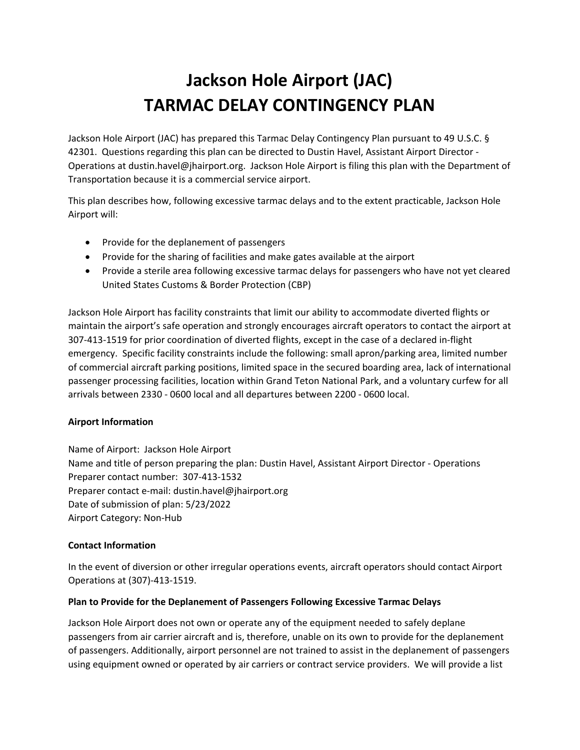# **Jackson Hole Airport (JAC) TARMAC DELAY CONTINGENCY PLAN**

Jackson Hole Airport (JAC) has prepared this Tarmac Delay Contingency Plan pursuant to 49 U.S.C. § 42301. Questions regarding this plan can be directed to Dustin Havel, Assistant Airport Director - Operations at dustin.havel@jhairport.org. Jackson Hole Airport is filing this plan with the Department of Transportation because it is a commercial service airport.

This plan describes how, following excessive tarmac delays and to the extent practicable, Jackson Hole Airport will:

- Provide for the deplanement of passengers
- Provide for the sharing of facilities and make gates available at the airport
- Provide a sterile area following excessive tarmac delays for passengers who have not yet cleared United States Customs & Border Protection (CBP)

Jackson Hole Airport has facility constraints that limit our ability to accommodate diverted flights or maintain the airport's safe operation and strongly encourages aircraft operators to contact the airport at 307-413-1519 for prior coordination of diverted flights, except in the case of a declared in-flight emergency. Specific facility constraints include the following: small apron/parking area, limited number of commercial aircraft parking positions, limited space in the secured boarding area, lack of international passenger processing facilities, location within Grand Teton National Park, and a voluntary curfew for all arrivals between 2330 - 0600 local and all departures between 2200 - 0600 local.

## **Airport Information**

Name of Airport: Jackson Hole Airport Name and title of person preparing the plan: Dustin Havel, Assistant Airport Director - Operations Preparer contact number: 307-413-1532 Preparer contact e-mail: dustin.havel@jhairport.org Date of submission of plan: 5/23/2022 Airport Category: Non-Hub

## **Contact Information**

In the event of diversion or other irregular operations events, aircraft operators should contact Airport Operations at (307)-413-1519.

## **Plan to Provide for the Deplanement of Passengers Following Excessive Tarmac Delays**

Jackson Hole Airport does not own or operate any of the equipment needed to safely deplane passengers from air carrier aircraft and is, therefore, unable on its own to provide for the deplanement of passengers. Additionally, airport personnel are not trained to assist in the deplanement of passengers using equipment owned or operated by air carriers or contract service providers. We will provide a list